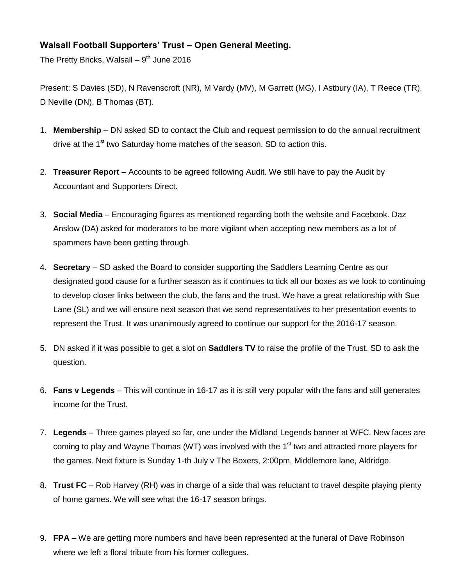## **Walsall Football Supporters' Trust – Open General Meeting.**

The Pretty Bricks, Walsall – 9<sup>th</sup> June 2016

Present: S Davies (SD), N Ravenscroft (NR), M Vardy (MV), M Garrett (MG), I Astbury (IA), T Reece (TR), D Neville (DN), B Thomas (BT).

- 1. **Membership** DN asked SD to contact the Club and request permission to do the annual recruitment drive at the 1<sup>st</sup> two Saturday home matches of the season. SD to action this.
- 2. **Treasurer Report** Accounts to be agreed following Audit. We still have to pay the Audit by Accountant and Supporters Direct.
- 3. **Social Media** Encouraging figures as mentioned regarding both the website and Facebook. Daz Anslow (DA) asked for moderators to be more vigilant when accepting new members as a lot of spammers have been getting through.
- 4. **Secretary** SD asked the Board to consider supporting the Saddlers Learning Centre as our designated good cause for a further season as it continues to tick all our boxes as we look to continuing to develop closer links between the club, the fans and the trust. We have a great relationship with Sue Lane (SL) and we will ensure next season that we send representatives to her presentation events to represent the Trust. It was unanimously agreed to continue our support for the 2016-17 season.
- 5. DN asked if it was possible to get a slot on **Saddlers TV** to raise the profile of the Trust. SD to ask the question.
- 6. **Fans v Legends** This will continue in 16-17 as it is still very popular with the fans and still generates income for the Trust.
- 7. **Legends** Three games played so far, one under the Midland Legends banner at WFC. New faces are coming to play and Wayne Thomas (WT) was involved with the  $1<sup>st</sup>$  two and attracted more players for the games. Next fixture is Sunday 1-th July v The Boxers, 2:00pm, Middlemore lane, Aldridge.
- 8. **Trust FC** Rob Harvey (RH) was in charge of a side that was reluctant to travel despite playing plenty of home games. We will see what the 16-17 season brings.
- 9. **FPA** We are getting more numbers and have been represented at the funeral of Dave Robinson where we left a floral tribute from his former collegues.